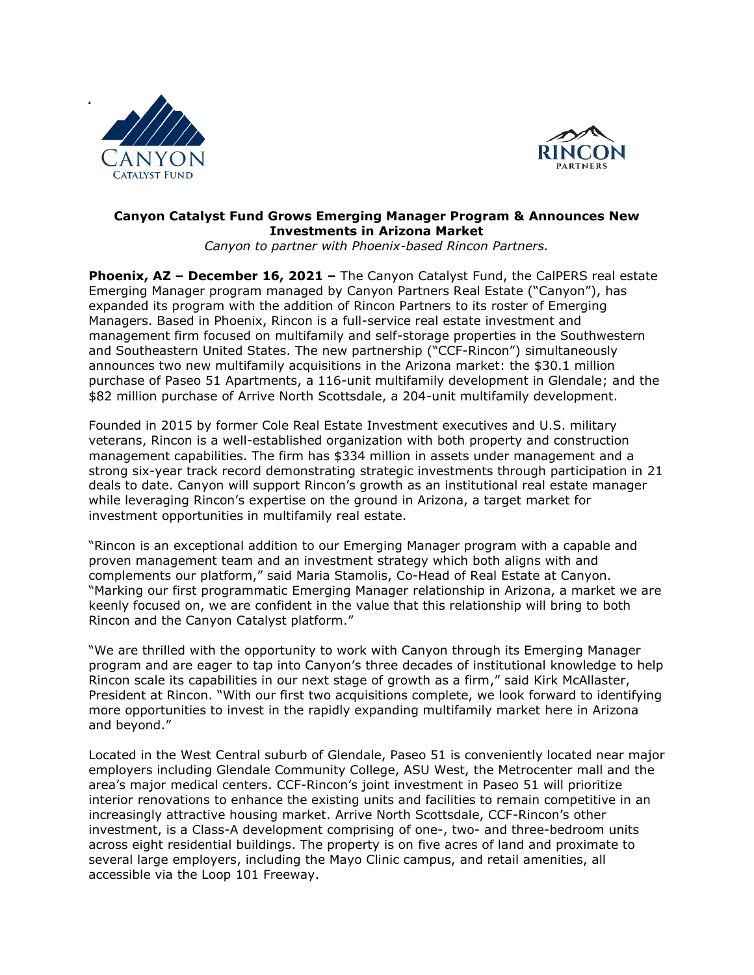



## **Canyon Catalyst Fund Grows Emerging Manager Program & Announces New Investments in Arizona Market**

*Canyon to partner with Phoenix-based Rincon Partners.*

**Phoenix, AZ – December 16, 2021 –** The Canyon Catalyst Fund, the CalPERS real estate Emerging Manager program managed by Canyon Partners Real Estate ("Canyon"), has expanded its program with the addition of Rincon Partners to its roster of Emerging Managers. Based in Phoenix, Rincon is a full-service real estate investment and management firm focused on multifamily and self-storage properties in the Southwestern and Southeastern United States. The new partnership ("CCF-Rincon") simultaneously announces two new multifamily acquisitions in the Arizona market: the \$30.1 million purchase of Paseo 51 Apartments, a 116-unit multifamily development in Glendale; and the \$82 million purchase of Arrive North Scottsdale, a 204-unit multifamily development.

Founded in 2015 by former Cole Real Estate Investment executives and U.S. military veterans, Rincon is a well-established organization with both property and construction management capabilities. The firm has \$334 million in assets under management and a strong six-year track record demonstrating strategic investments through participation in 21 deals to date. Canyon will support Rincon's growth as an institutional real estate manager while leveraging Rincon's expertise on the ground in Arizona, a target market for investment opportunities in multifamily real estate.

"Rincon is an exceptional addition to our Emerging Manager program with a capable and proven management team and an investment strategy which both aligns with and complements our platform," said Maria Stamolis, Co-Head of Real Estate at Canyon. "Marking our first programmatic Emerging Manager relationship in Arizona, a market we are keenly focused on, we are confident in the value that this relationship will bring to both Rincon and the Canyon Catalyst platform."

"We are thrilled with the opportunity to work with Canyon through its Emerging Manager program and are eager to tap into Canyon's three decades of institutional knowledge to help Rincon scale its capabilities in our next stage of growth as a firm," said Kirk McAllaster, President at Rincon. "With our first two acquisitions complete, we look forward to identifying more opportunities to invest in the rapidly expanding multifamily market here in Arizona and beyond."

Located in the West Central suburb of Glendale, Paseo 51 is conveniently located near major employers including Glendale Community College, ASU West, the Metrocenter mall and the area's major medical centers. CCF-Rincon's joint investment in Paseo 51 will prioritize interior renovations to enhance the existing units and facilities to remain competitive in an increasingly attractive housing market. Arrive North Scottsdale, CCF-Rincon's other investment, is a Class-A development comprising of one-, two- and three-bedroom units across eight residential buildings. The property is on five acres of land and proximate to several large employers, including the Mayo Clinic campus, and retail amenities, all accessible via the Loop 101 Freeway.